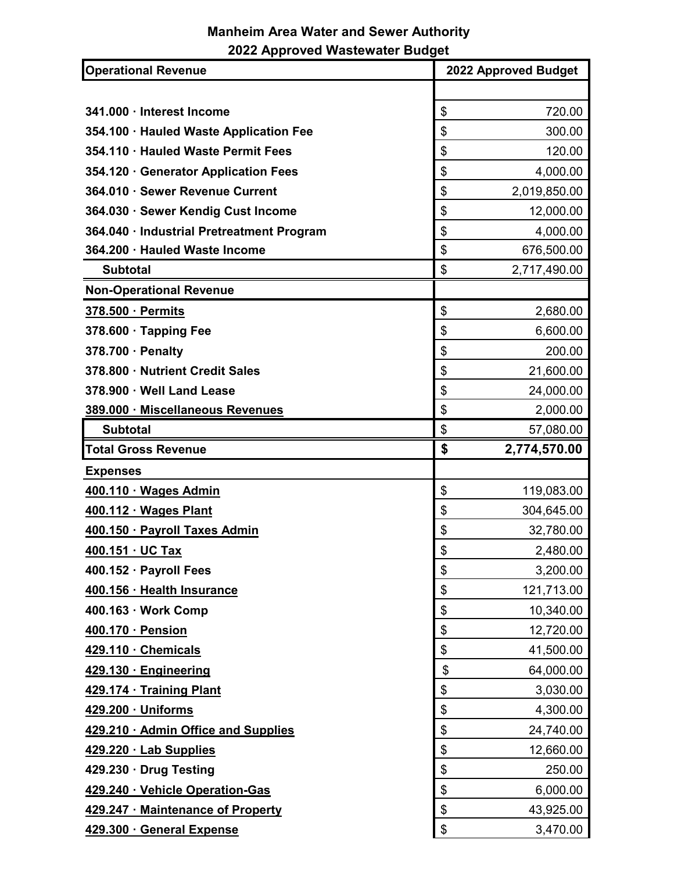## **Manheim Area Water and Sewer Authority 2022 Approved Wastewater Budget**

| <b>Operational Revenue</b>                | 2022 Approved Budget |  |
|-------------------------------------------|----------------------|--|
|                                           |                      |  |
| 341.000 · Interest Income                 | 720.00<br>\$         |  |
| 354.100 · Hauled Waste Application Fee    | \$<br>300.00         |  |
| 354.110 · Hauled Waste Permit Fees        | \$<br>120.00         |  |
| 354.120 · Generator Application Fees      | \$<br>4,000.00       |  |
| 364.010 · Sewer Revenue Current           | \$<br>2,019,850.00   |  |
| 364.030 · Sewer Kendig Cust Income        | \$<br>12,000.00      |  |
| 364.040 · Industrial Pretreatment Program | \$<br>4,000.00       |  |
| 364.200 · Hauled Waste Income             | \$<br>676,500.00     |  |
| <b>Subtotal</b>                           | \$<br>2,717,490.00   |  |
| <b>Non-Operational Revenue</b>            |                      |  |
| 378.500 · Permits                         | \$<br>2,680.00       |  |
| 378.600 · Tapping Fee                     | \$<br>6,600.00       |  |
| 378.700 · Penalty                         | \$<br>200.00         |  |
| 378.800 · Nutrient Credit Sales           | \$<br>21,600.00      |  |
| 378.900 · Well Land Lease                 | \$<br>24,000.00      |  |
| 389.000 · Miscellaneous Revenues          | \$<br>2,000.00       |  |
| <b>Subtotal</b>                           | \$<br>57,080.00      |  |
| <b>Total Gross Revenue</b>                | \$<br>2,774,570.00   |  |
| <b>Expenses</b>                           |                      |  |
| 400.110 · Wages Admin                     | \$<br>119,083.00     |  |
| 400.112 · Wages Plant                     | \$<br>304,645.00     |  |
| 400.150 · Payroll Taxes Admin             | \$<br>32,780.00      |  |
| 400.151 · UC Tax                          | \$<br>2,480.00       |  |
| 400.152 · Payroll Fees                    | \$<br>3,200.00       |  |
| 400.156 · Health Insurance                | \$<br>121,713.00     |  |
| 400.163 · Work Comp                       | \$<br>10,340.00      |  |
| 400.170 · Pension                         | \$<br>12,720.00      |  |
| 429.110 · Chemicals                       | \$<br>41,500.00      |  |
| 429.130 · Engineering                     | \$<br>64,000.00      |  |
| 429.174 · Training Plant                  | \$<br>3,030.00       |  |
| 429.200 · Uniforms                        | \$<br>4,300.00       |  |
| 429.210 · Admin Office and Supplies       | \$<br>24,740.00      |  |
| 429.220 · Lab Supplies                    | \$<br>12,660.00      |  |
| 429.230 · Drug Testing                    | \$<br>250.00         |  |
| 429.240 · Vehicle Operation-Gas           | 6,000.00<br>\$       |  |
| 429.247 · Maintenance of Property         | \$<br>43,925.00      |  |
| 429.300 · General Expense                 | \$<br>3,470.00       |  |